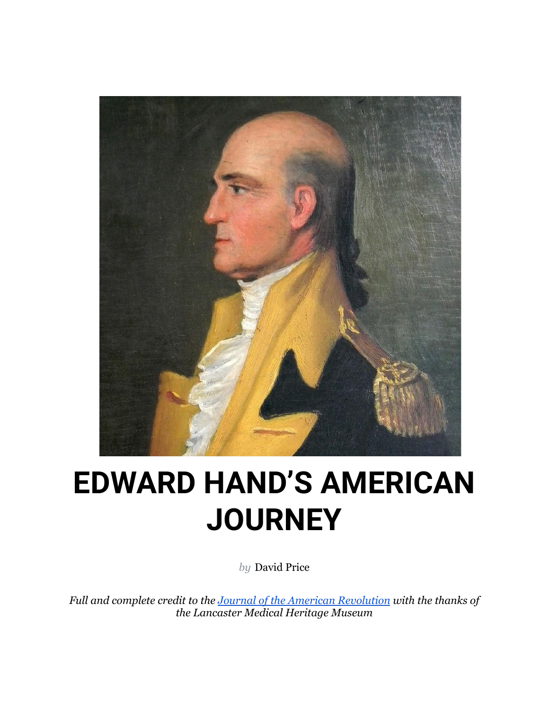

# **EDWARD HAND'S AMERICAN JOURNEY**

*by* [David Price](https://allthingsliberty.com/author/david-price/)

*Full and complete credit to the [Journal of the American](https://allthingsliberty.com/2022/05/edward-hands-american-journey/) Revolution with the thanks of the Lancaster Medical Heritage Museum*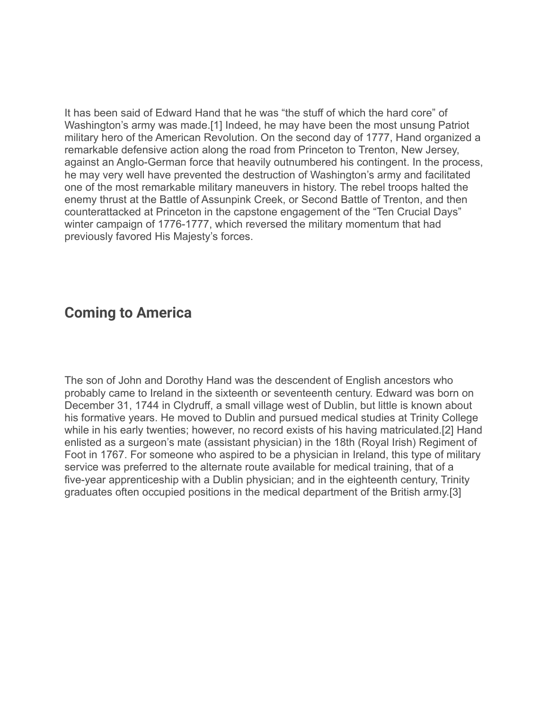It has been said of Edward Hand that he was "the stuff of which the hard core" of Washington's army was made.[1] Indeed, he may have been the most unsung Patriot military hero of the American Revolution. On the second day of 1777, Hand organized a remarkable defensive action along the road from Princeton to Trenton, New Jersey, against an Anglo-German force that heavily outnumbered his contingent. In the process, he may very well have prevented the destruction of Washington's army and facilitated one of the most remarkable military maneuvers in history. The rebel troops halted the enemy thrust at the Battle of Assunpink Creek, or Second Battle of Trenton, and then counterattacked at Princeton in the capstone engagement of the "Ten Crucial Days" winter campaign of 1776-1777, which reversed the military momentum that had previously favored His Majesty's forces.

## **Coming to America**

The son of John and Dorothy Hand was the descendent of English ancestors who probably came to Ireland in the sixteenth or seventeenth century. Edward was born on December 31, 1744 in Clydruff, a small village west of Dublin, but little is known about his formative years. He moved to Dublin and pursued medical studies at Trinity College while in his early twenties; however, no record exists of his having matriculated.[2] Hand enlisted as a surgeon's mate (assistant physician) in the 18th (Royal Irish) Regiment of Foot in 1767. For someone who aspired to be a physician in Ireland, this type of military service was preferred to the alternate route available for medical training, that of a five-year apprenticeship with a Dublin physician; and in the eighteenth century, Trinity graduates often occupied positions in the medical department of the British army.[3]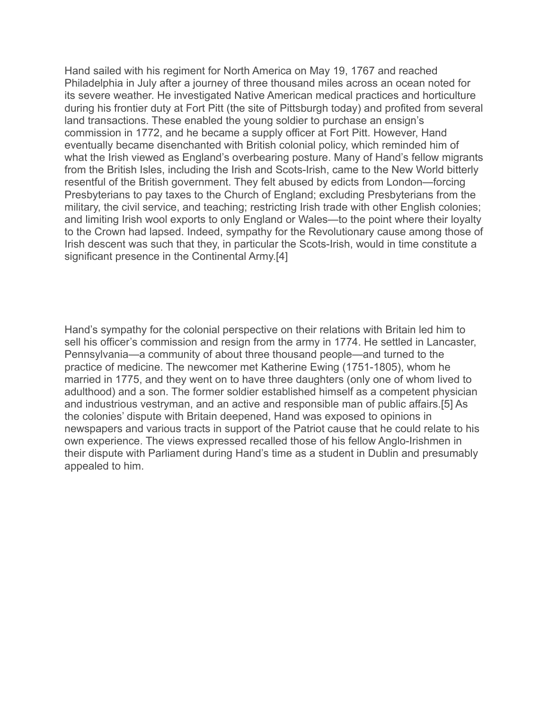Hand sailed with his regiment for North America on May 19, 1767 and reached Philadelphia in July after a journey of three thousand miles across an ocean noted for its severe weather. He investigated Native American medical practices and horticulture during his frontier duty at Fort Pitt (the site of Pittsburgh today) and profited from several land transactions. These enabled the young soldier to purchase an ensign's commission in 1772, and he became a supply officer at Fort Pitt. However, Hand eventually became disenchanted with British colonial policy, which reminded him of what the Irish viewed as England's overbearing posture. Many of Hand's fellow migrants from the British Isles, including the Irish and Scots-Irish, came to the New World bitterly resentful of the British government. They felt abused by edicts from London—forcing Presbyterians to pay taxes to the Church of England; excluding Presbyterians from the military, the civil service, and teaching; restricting Irish trade with other English colonies; and limiting Irish wool exports to only England or Wales—to the point where their loyalty to the Crown had lapsed. Indeed, sympathy for the Revolutionary cause among those of Irish descent was such that they, in particular the Scots-Irish, would in time constitute a significant presence in the Continental Army.[4]

Hand's sympathy for the colonial perspective on their relations with Britain led him to sell his officer's commission and resign from the army in 1774. He settled in Lancaster, Pennsylvania—a community of about three thousand people—and turned to the practice of medicine. The newcomer met Katherine Ewing (1751-1805), whom he married in 1775, and they went on to have three daughters (only one of whom lived to adulthood) and a son. The former soldier established himself as a competent physician and industrious vestryman, and an active and responsible man of public affairs.[5] As the colonies' dispute with Britain deepened, Hand was exposed to opinions in newspapers and various tracts in support of the Patriot cause that he could relate to his own experience. The views expressed recalled those of his fellow Anglo-Irishmen in their dispute with Parliament during Hand's time as a student in Dublin and presumably appealed to him.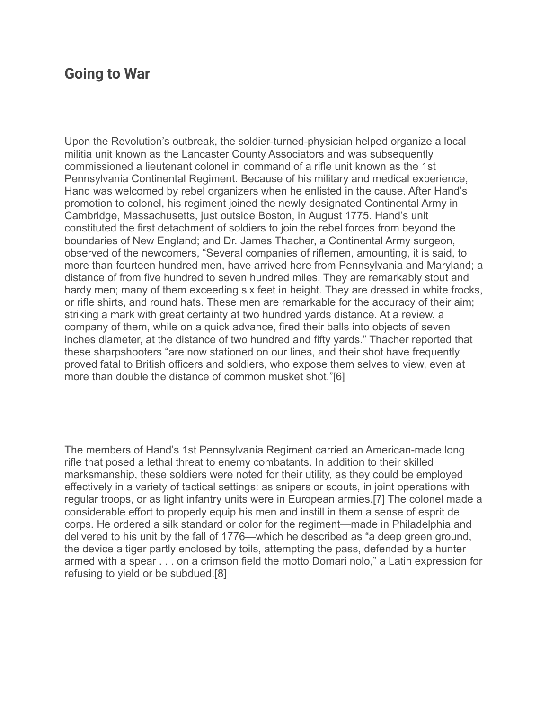## **Going to War**

Upon the Revolution's outbreak, the soldier-turned-physician helped organize a local militia unit known as the Lancaster County Associators and was subsequently commissioned a lieutenant colonel in command of a rifle unit known as the 1st Pennsylvania Continental Regiment. Because of his military and medical experience, Hand was welcomed by rebel organizers when he enlisted in the cause. After Hand's promotion to colonel, his regiment joined the newly designated Continental Army in Cambridge, Massachusetts, just outside Boston, in August 1775. Hand's unit constituted the first detachment of soldiers to join the rebel forces from beyond the boundaries of New England; and Dr. James Thacher, a Continental Army surgeon, observed of the newcomers, "Several companies of riflemen, amounting, it is said, to more than fourteen hundred men, have arrived here from Pennsylvania and Maryland; a distance of from five hundred to seven hundred miles. They are remarkably stout and hardy men; many of them exceeding six feet in height. They are dressed in white frocks, or rifle shirts, and round hats. These men are remarkable for the accuracy of their aim; striking a mark with great certainty at two hundred yards distance. At a review, a company of them, while on a quick advance, fired their balls into objects of seven inches diameter, at the distance of two hundred and fifty yards." Thacher reported that these sharpshooters "are now stationed on our lines, and their shot have frequently proved fatal to British officers and soldiers, who expose them selves to view, even at more than double the distance of common musket shot."[6]

The members of Hand's 1st Pennsylvania Regiment carried an American-made long rifle that posed a lethal threat to enemy combatants. In addition to their skilled marksmanship, these soldiers were noted for their utility, as they could be employed effectively in a variety of tactical settings: as snipers or scouts, in joint operations with regular troops, or as light infantry units were in European armies.[7] The colonel made a considerable effort to properly equip his men and instill in them a sense of esprit de corps. He ordered a silk standard or color for the regiment—made in Philadelphia and delivered to his unit by the fall of 1776—which he described as "a deep green ground, the device a tiger partly enclosed by toils, attempting the pass, defended by a hunter armed with a spear . . . on a crimson field the motto Domari nolo," a Latin expression for refusing to yield or be subdued.[8]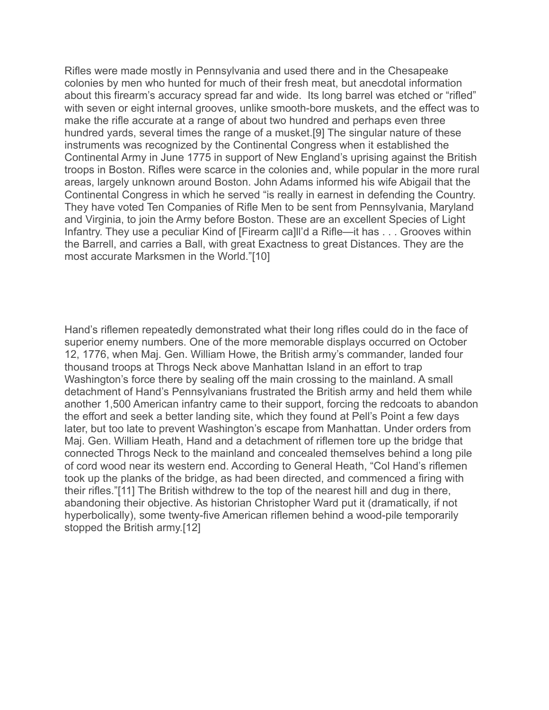Rifles were made mostly in Pennsylvania and used there and in the Chesapeake colonies by men who hunted for much of their fresh meat, but anecdotal information about this firearm's accuracy spread far and wide. Its long barrel was etched or "rifled" with seven or eight internal grooves, unlike smooth-bore muskets, and the effect was to make the rifle accurate at a range of about two hundred and perhaps even three hundred yards, several times the range of a musket.[9] The singular nature of these instruments was recognized by the Continental Congress when it established the Continental Army in June 1775 in support of New England's uprising against the British troops in Boston. Rifles were scarce in the colonies and, while popular in the more rural areas, largely unknown around Boston. John Adams informed his wife Abigail that the Continental Congress in which he served "is really in earnest in defending the Country. They have voted Ten Companies of Rifle Men to be sent from Pennsylvania, Maryland and Virginia, to join the Army before Boston. These are an excellent Species of Light Infantry. They use a peculiar Kind of [Firearm ca]ll'd a Rifle—it has . . . Grooves within the Barrell, and carries a Ball, with great Exactness to great Distances. They are the most accurate Marksmen in the World."[10]

Hand's riflemen repeatedly demonstrated what their long rifles could do in the face of superior enemy numbers. One of the more memorable displays occurred on October 12, 1776, when Maj. Gen. William Howe, the British army's commander, landed four thousand troops at Throgs Neck above Manhattan Island in an effort to trap Washington's force there by sealing off the main crossing to the mainland. A small detachment of Hand's Pennsylvanians frustrated the British army and held them while another 1,500 American infantry came to their support, forcing the redcoats to abandon the effort and seek a better landing site, which they found at Pell's Point a few days later, but too late to prevent Washington's escape from Manhattan. Under orders from Maj. Gen. William Heath, Hand and a detachment of riflemen tore up the bridge that connected Throgs Neck to the mainland and concealed themselves behind a long pile of cord wood near its western end. According to General Heath, "Col Hand's riflemen took up the planks of the bridge, as had been directed, and commenced a firing with their rifles."[11] The British withdrew to the top of the nearest hill and dug in there, abandoning their objective. As historian Christopher Ward put it (dramatically, if not hyperbolically), some twenty-five American riflemen behind a wood-pile temporarily stopped the British army.[12]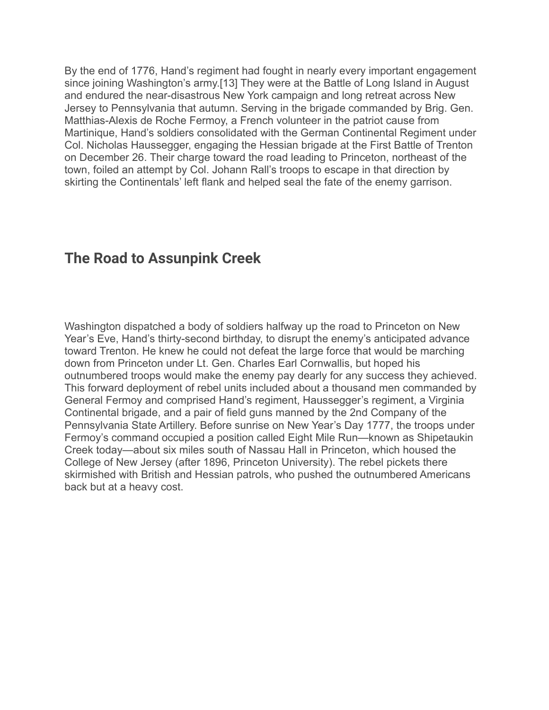By the end of 1776, Hand's regiment had fought in nearly every important engagement since joining Washington's army.[13] They were at the Battle of Long Island in August and endured the near-disastrous New York campaign and long retreat across New Jersey to Pennsylvania that autumn. Serving in the brigade commanded by Brig. Gen. Matthias-Alexis de Roche Fermoy, a French volunteer in the patriot cause from Martinique, Hand's soldiers consolidated with the German Continental Regiment under Col. Nicholas Haussegger, engaging the Hessian brigade at the First Battle of Trenton on December 26. Their charge toward the road leading to Princeton, northeast of the town, foiled an attempt by Col. Johann Rall's troops to escape in that direction by skirting the Continentals' left flank and helped seal the fate of the enemy garrison.

## **The Road to Assunpink Creek**

Washington dispatched a body of soldiers halfway up the road to Princeton on New Year's Eve, Hand's thirty-second birthday, to disrupt the enemy's anticipated advance toward Trenton. He knew he could not defeat the large force that would be marching down from Princeton under Lt. Gen. Charles Earl Cornwallis, but hoped his outnumbered troops would make the enemy pay dearly for any success they achieved. This forward deployment of rebel units included about a thousand men commanded by General Fermoy and comprised Hand's regiment, Haussegger's regiment, a Virginia Continental brigade, and a pair of field guns manned by the 2nd Company of the Pennsylvania State Artillery. Before sunrise on New Year's Day 1777, the troops under Fermoy's command occupied a position called Eight Mile Run—known as Shipetaukin Creek today—about six miles south of Nassau Hall in Princeton, which housed the College of New Jersey (after 1896, Princeton University). The rebel pickets there skirmished with British and Hessian patrols, who pushed the outnumbered Americans back but at a heavy cost.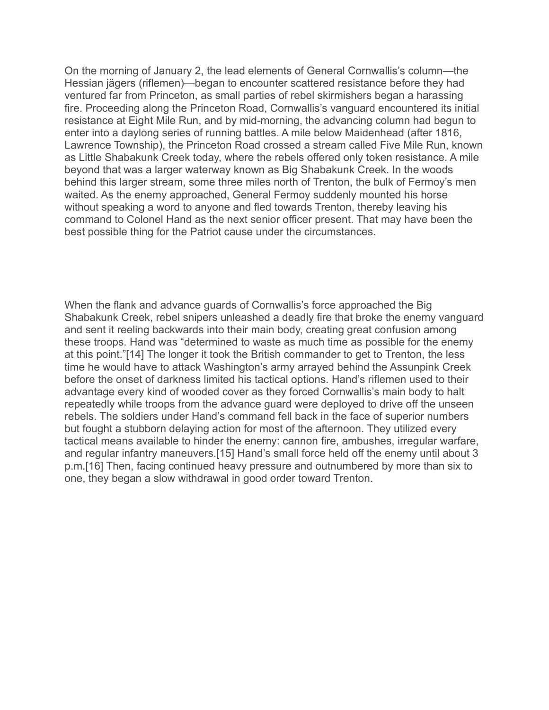On the morning of January 2, the lead elements of General Cornwallis's column—the Hessian jägers (riflemen)—began to encounter scattered resistance before they had ventured far from Princeton, as small parties of rebel skirmishers began a harassing fire. Proceeding along the Princeton Road, Cornwallis's vanguard encountered its initial resistance at Eight Mile Run, and by mid-morning, the advancing column had begun to enter into a daylong series of running battles. A mile below Maidenhead (after 1816, Lawrence Township), the Princeton Road crossed a stream called Five Mile Run, known as Little Shabakunk Creek today, where the rebels offered only token resistance. A mile beyond that was a larger waterway known as Big Shabakunk Creek. In the woods behind this larger stream, some three miles north of Trenton, the bulk of Fermoy's men waited. As the enemy approached, General Fermoy suddenly mounted his horse without speaking a word to anyone and fled towards Trenton, thereby leaving his command to Colonel Hand as the next senior officer present. That may have been the best possible thing for the Patriot cause under the circumstances.

When the flank and advance guards of Cornwallis's force approached the Big Shabakunk Creek, rebel snipers unleashed a deadly fire that broke the enemy vanguard and sent it reeling backwards into their main body, creating great confusion among these troops. Hand was "determined to waste as much time as possible for the enemy at this point."[14] The longer it took the British commander to get to Trenton, the less time he would have to attack Washington's army arrayed behind the Assunpink Creek before the onset of darkness limited his tactical options. Hand's riflemen used to their advantage every kind of wooded cover as they forced Cornwallis's main body to halt repeatedly while troops from the advance guard were deployed to drive off the unseen rebels. The soldiers under Hand's command fell back in the face of superior numbers but fought a stubborn delaying action for most of the afternoon. They utilized every tactical means available to hinder the enemy: cannon fire, ambushes, irregular warfare, and regular infantry maneuvers.[15] Hand's small force held off the enemy until about 3 p.m.[16] Then, facing continued heavy pressure and outnumbered by more than six to one, they began a slow withdrawal in good order toward Trenton.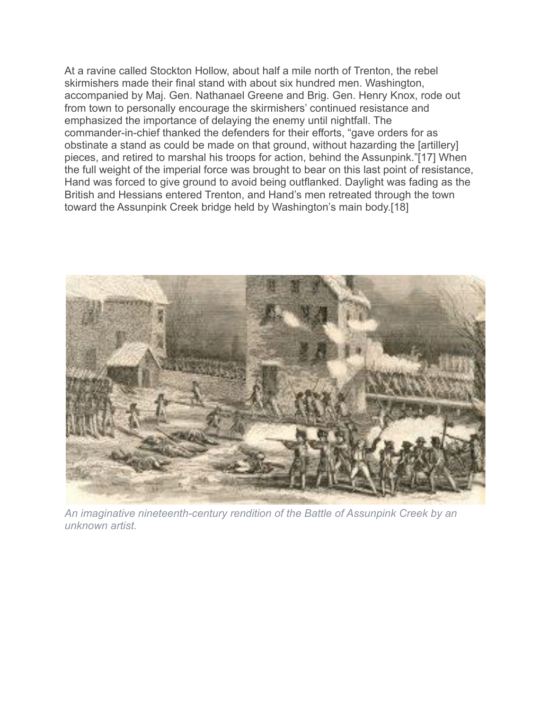At a ravine called Stockton Hollow, about half a mile north of Trenton, the rebel skirmishers made their final stand with about six hundred men. Washington, accompanied by Maj. Gen. Nathanael Greene and Brig. Gen. Henry Knox, rode out from town to personally encourage the skirmishers' continued resistance and emphasized the importance of delaying the enemy until nightfall. The commander-in-chief thanked the defenders for their efforts, "gave orders for as obstinate a stand as could be made on that ground, without hazarding the [artillery] pieces, and retired to marshal his troops for action, behind the Assunpink."[17] When the full weight of the imperial force was brought to bear on this last point of resistance, Hand was forced to give ground to avoid being outflanked. Daylight was fading as the British and Hessians entered Trenton, and Hand's men retreated through the town toward the Assunpink Creek bridge held by Washington's main body.[18]



*An imaginative nineteenth-century rendition of the Battle of Assunpink Creek by an unknown artist.*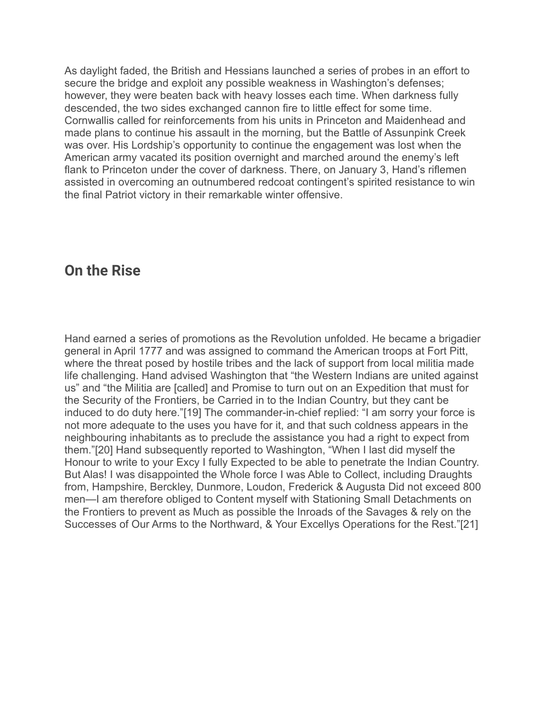As daylight faded, the British and Hessians launched a series of probes in an effort to secure the bridge and exploit any possible weakness in Washington's defenses; however, they were beaten back with heavy losses each time. When darkness fully descended, the two sides exchanged cannon fire to little effect for some time. Cornwallis called for reinforcements from his units in Princeton and Maidenhead and made plans to continue his assault in the morning, but the Battle of Assunpink Creek was over. His Lordship's opportunity to continue the engagement was lost when the American army vacated its position overnight and marched around the enemy's left flank to Princeton under the cover of darkness. There, on January 3, Hand's riflemen assisted in overcoming an outnumbered redcoat contingent's spirited resistance to win the final Patriot victory in their remarkable winter offensive.

## **On the Rise**

Hand earned a series of promotions as the Revolution unfolded. He became a brigadier general in April 1777 and was assigned to command the American troops at Fort Pitt, where the threat posed by hostile tribes and the lack of support from local militia made life challenging. Hand advised Washington that "the Western Indians are united against us" and "the Militia are [called] and Promise to turn out on an Expedition that must for the Security of the Frontiers, be Carried in to the Indian Country, but they cant be induced to do duty here."[19] The commander-in-chief replied: "I am sorry your force is not more adequate to the uses you have for it, and that such coldness appears in the neighbouring inhabitants as to preclude the assistance you had a right to expect from them."[20] Hand subsequently reported to Washington, "When I last did myself the Honour to write to your Excy I fully Expected to be able to penetrate the Indian Country. But Alas! I was disappointed the Whole force I was Able to Collect, including Draughts from, Hampshire, Berckley, Dunmore, Loudon, Frederick & Augusta Did not exceed 800 men—I am therefore obliged to Content myself with Stationing Small Detachments on the Frontiers to prevent as Much as possible the Inroads of the Savages & rely on the Successes of Our Arms to the Northward, & Your Excellys Operations for the Rest."[21]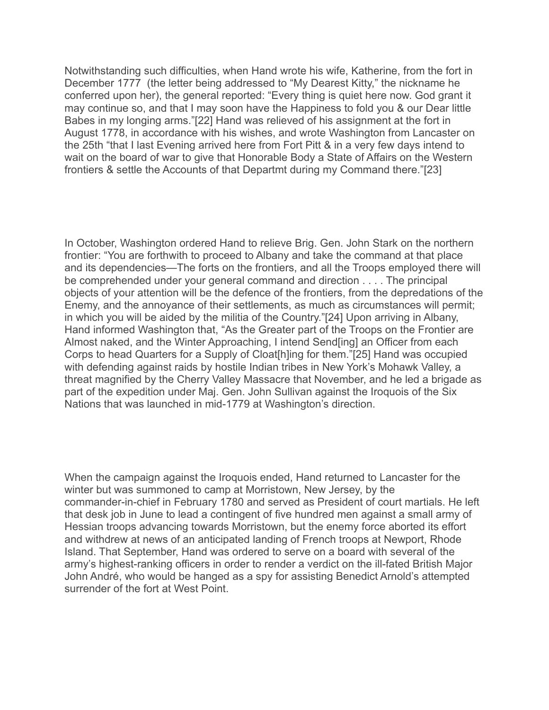Notwithstanding such difficulties, when Hand wrote his wife, Katherine, from the fort in December 1777 (the letter being addressed to "My Dearest Kitty," the nickname he conferred upon her), the general reported: "Every thing is quiet here now. God grant it may continue so, and that I may soon have the Happiness to fold you & our Dear little Babes in my longing arms."[22] Hand was relieved of his assignment at the fort in August 1778, in accordance with his wishes, and wrote Washington from Lancaster on the 25th "that I last Evening arrived here from Fort Pitt & in a very few days intend to wait on the board of war to give that Honorable Body a State of Affairs on the Western frontiers & settle the Accounts of that Departmt during my Command there."[23]

In October, Washington ordered Hand to relieve Brig. Gen. John Stark on the northern frontier: "You are forthwith to proceed to Albany and take the command at that place and its dependencies—The forts on the frontiers, and all the Troops employed there will be comprehended under your general command and direction . . . . The principal objects of your attention will be the defence of the frontiers, from the depredations of the Enemy, and the annoyance of their settlements, as much as circumstances will permit; in which you will be aided by the militia of the Country."[24] Upon arriving in Albany, Hand informed Washington that, "As the Greater part of the Troops on the Frontier are Almost naked, and the Winter Approaching, I intend Send[ing] an Officer from each Corps to head Quarters for a Supply of Cloat[h]ing for them."[25] Hand was occupied with defending against raids by hostile Indian tribes in New York's Mohawk Valley, a threat magnified by the Cherry Valley Massacre that November, and he led a brigade as part of the expedition under Maj. Gen. John Sullivan against the Iroquois of the Six Nations that was launched in mid-1779 at Washington's direction.

When the campaign against the Iroquois ended, Hand returned to Lancaster for the winter but was summoned to camp at Morristown, New Jersey, by the commander-in-chief in February 1780 and served as President of court martials. He left that desk job in June to lead a contingent of five hundred men against a small army of Hessian troops advancing towards Morristown, but the enemy force aborted its effort and withdrew at news of an anticipated landing of French troops at Newport, Rhode Island. That September, Hand was ordered to serve on a board with several of the army's highest-ranking officers in order to render a verdict on the ill-fated British Major John André, who would be hanged as a spy for assisting Benedict Arnold's attempted surrender of the fort at West Point.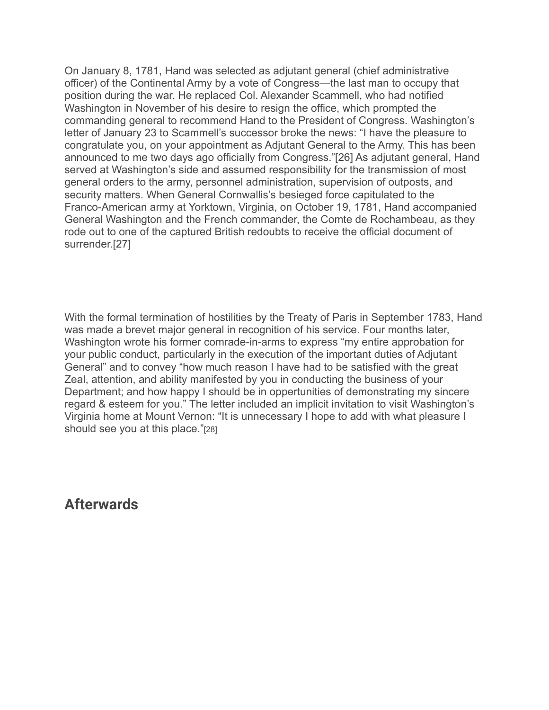On January 8, 1781, Hand was selected as adjutant general (chief administrative officer) of the Continental Army by a vote of Congress—the last man to occupy that position during the war. He replaced Col. Alexander Scammell, who had notified Washington in November of his desire to resign the office, which prompted the commanding general to recommend Hand to the President of Congress. Washington's letter of January 23 to Scammell's successor broke the news: "I have the pleasure to congratulate you, on your appointment as Adjutant General to the Army. This has been announced to me two days ago officially from Congress."[26] As adjutant general, Hand served at Washington's side and assumed responsibility for the transmission of most general orders to the army, personnel administration, supervision of outposts, and security matters. When General Cornwallis's besieged force capitulated to the Franco-American army at Yorktown, Virginia, on October 19, 1781, Hand accompanied General Washington and the French commander, the Comte de Rochambeau, as they rode out to one of the captured British redoubts to receive the official document of surrender.[27]

With the formal termination of hostilities by the Treaty of Paris in September 1783, Hand was made a brevet major general in recognition of his service. Four months later, Washington wrote his former comrade-in-arms to express "my entire approbation for your public conduct, particularly in the execution of the important duties of Adjutant General" and to convey "how much reason I have had to be satisfied with the great Zeal, attention, and ability manifested by you in conducting the business of your Department; and how happy I should be in oppertunities of demonstrating my sincere regard & esteem for you." The letter included an implicit invitation to visit Washington's Virginia home at Mount Vernon: "It is unnecessary I hope to add with what pleasure I should see you at this place."[28]

**Afterwards**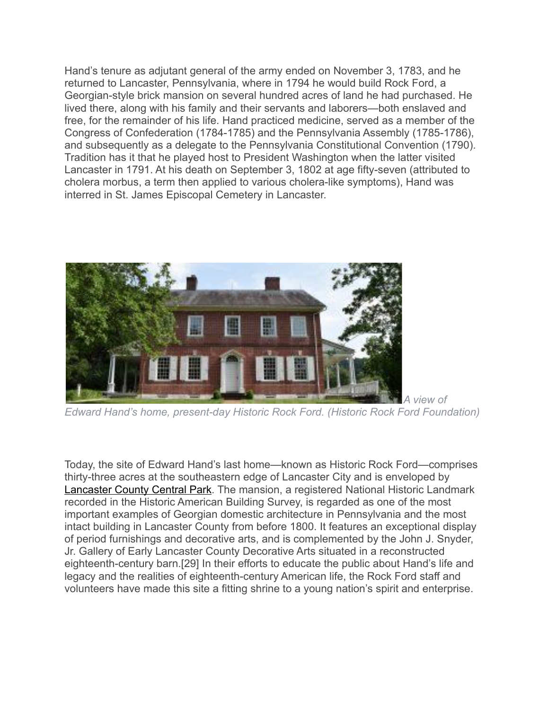Hand's tenure as adjutant general of the army ended on November 3, 1783, and he returned to Lancaster, Pennsylvania, where in 1794 he would build Rock Ford, a Georgian-style brick mansion on several hundred acres of land he had purchased. He lived there, along with his family and their servants and laborers—both enslaved and free, for the remainder of his life. Hand practiced medicine, served as a member of the Congress of Confederation (1784-1785) and the Pennsylvania Assembly (1785-1786), and subsequently as a delegate to the Pennsylvania Constitutional Convention (1790). Tradition has it that he played host to President Washington when the latter visited Lancaster in 1791. At his death on September 3, 1802 at age fifty-seven (attributed to cholera morbus, a term then applied to various cholera-like symptoms), Hand was interred in St. James Episcopal Cemetery in Lancaster.



*Edward Hand's home, present-day Historic Rock Ford. (Historic Rock Ford Foundation)*

Today, the site of Edward Hand's last home—known as Historic Rock Ford—comprises thirty-three acres at the southeastern edge of Lancaster City and is enveloped by [Lancaster County Central Park](https://historicrockford.org/). The mansion, a registered National Historic Landmark recorded in the Historic American Building Survey, is regarded as one of the most important examples of Georgian domestic architecture in Pennsylvania and the most intact building in Lancaster County from before 1800. It features an exceptional display of period furnishings and decorative arts, and is complemented by the John J. Snyder, Jr. Gallery of Early Lancaster County Decorative Arts situated in a reconstructed eighteenth-century barn.[29] In their efforts to educate the public about Hand's life and legacy and the realities of eighteenth-century American life, the Rock Ford staff and volunteers have made this site a fitting shrine to a young nation's spirit and enterprise.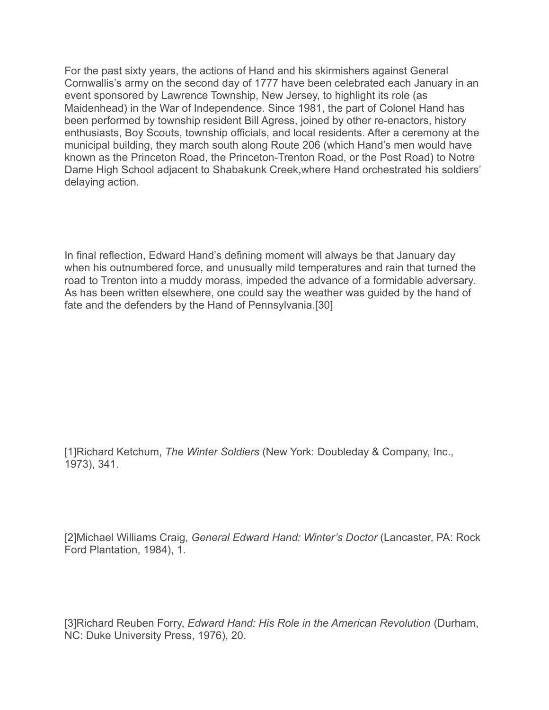For the past sixty years, the actions of Hand and his skirmishers against General Cornwallis's army on the second day of 1777 have been celebrated each January in an event sponsored by Lawrence Township, New Jersey, to highlight its role (as Maidenhead) in the War of Independence. Since 1981, the part of Colonel Hand has been performed by township resident Bill Agress, joined by other re-enactors, history enthusiasts, Boy Scouts, township officials, and local residents. After a ceremony at the municipal building, they march south along Route 206 (which Hand's men would have known as the Princeton Road, the Princeton-Trenton Road, or the Post Road) to Notre Dame High School adjacent to Shabakunk Creek,where Hand orchestrated his soldiers' delaying action.

In final reflection, Edward Hand's defining moment will always be that January day when his outnumbered force, and unusually mild temperatures and rain that turned the road to Trenton into a muddy morass, impeded the advance of a formidable adversary. As has been written elsewhere, one could say the weather was guided by the hand of fate and the defenders by the Hand of Pennsylvania.[30]

[1]Richard Ketchum, *The Winter Soldiers* (New York: Doubleday & Company, Inc., 1973), 341.

[2]Michael Williams Craig, *General Edward Hand: Winter's Doctor* (Lancaster, PA: Rock Ford Plantation, 1984), 1.

[3]Richard Reuben Forry, *Edward Hand: His Role in the American Revolution* (Durham, NC: Duke University Press, 1976), 20.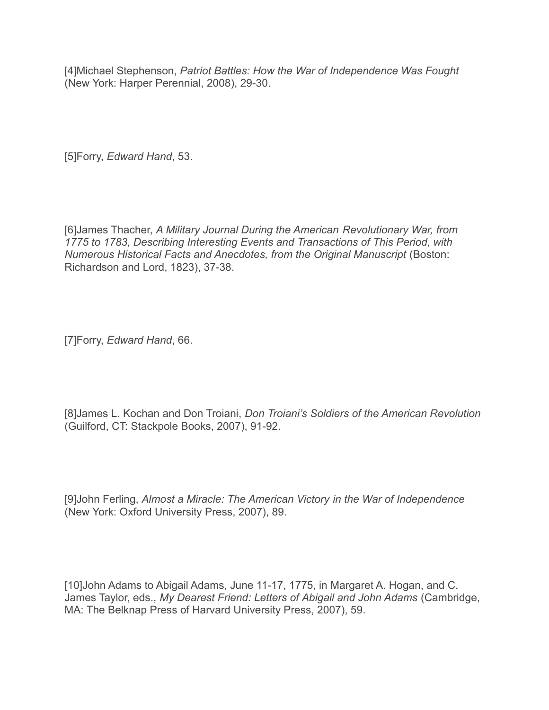[4]Michael Stephenson, *Patriot Battles: How the War of Independence Was Fought* (New York: Harper Perennial, 2008), 29-30.

[5]Forry, *Edward Hand*, 53.

[6]James Thacher, *A Military Journal During the American Revolutionary War, from 1775 to 1783, Describing Interesting Events and Transactions of This Period, with Numerous Historical Facts and Anecdotes, from the Original Manuscript* (Boston: Richardson and Lord, 1823), 37-38.

[7]Forry, *Edward Hand*, 66.

[8]James L. Kochan and Don Troiani, *Don Troiani's Soldiers of the American Revolution* (Guilford, CT: Stackpole Books, 2007), 91-92.

[9]John Ferling, *Almost a Miracle: The American Victory in the War of Independence* (New York: Oxford University Press, 2007), 89.

[10]John Adams to Abigail Adams, June 11-17, 1775, in Margaret A. Hogan, and C. James Taylor, eds., *My Dearest Friend: Letters of Abigail and John Adams* (Cambridge, MA: The Belknap Press of Harvard University Press, 2007), 59.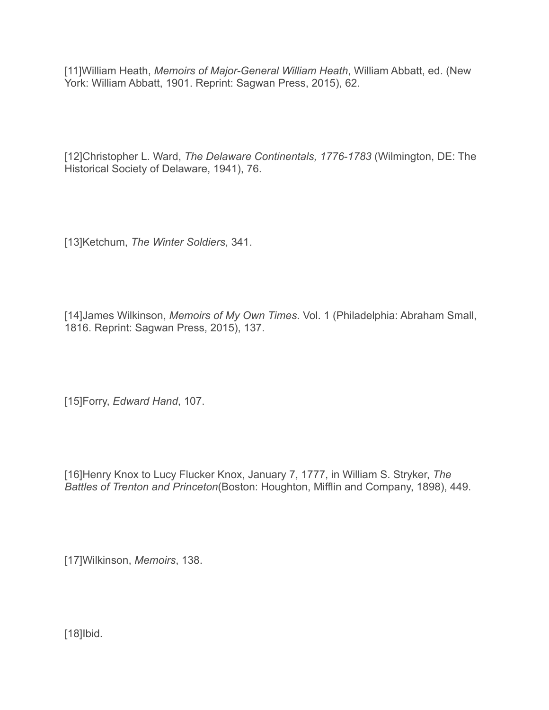[11]William Heath, *Memoirs of Major-General William Heath*, William Abbatt, ed. (New York: William Abbatt, 1901. Reprint: Sagwan Press, 2015), 62.

[12]Christopher L. Ward, *The Delaware Continentals, 1776-1783* (Wilmington, DE: The Historical Society of Delaware, 1941), 76.

[13]Ketchum, *The Winter Soldiers*, 341.

[14]James Wilkinson, *Memoirs of My Own Times*. Vol. 1 (Philadelphia: Abraham Small, 1816. Reprint: Sagwan Press, 2015), 137.

[15]Forry, *Edward Hand*, 107.

[16]Henry Knox to Lucy Flucker Knox, January 7, 1777, in William S. Stryker, *The Battles of Trenton and Princeton*(Boston: Houghton, Mifflin and Company, 1898), 449.

[17]Wilkinson, *Memoirs*, 138.

[18]Ibid.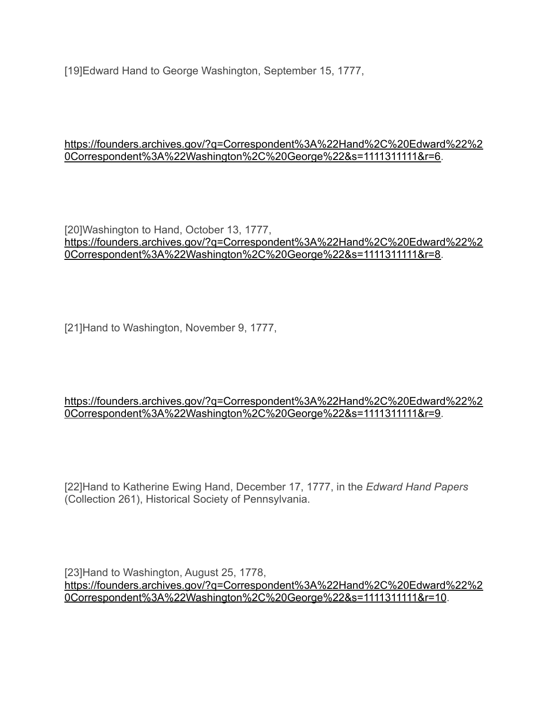[19]Edward Hand to George Washington, September 15, 1777,

#### [https://founders.archives.gov/?q=Correspondent%3A%22Hand%2C%20Edward%22%2](https://founders.archives.gov/?q=Correspondent%3A%22Hand%2C%20Edward%22%20Correspondent%3A%22Washington%2C%20George%22&s=1111311111&r=6.) [0Correspondent%3A%22Washington%2C%20George%22&s=1111311111&r=6.](https://founders.archives.gov/?q=Correspondent%3A%22Hand%2C%20Edward%22%20Correspondent%3A%22Washington%2C%20George%22&s=1111311111&r=6.)

[20]Washington to Hand, October 13, 1777, [https://founders.archives.gov/?q=Correspondent%3A%22Hand%2C%20Edward%22%2](https://founders.archives.gov/?q=Correspondent%3A%22Hand%2C%20Edward%22%20Correspondent%3A%22Washington%2C%20George%22&s=1111311111&r=8) [0Correspondent%3A%22Washington%2C%20George%22&s=1111311111&r=8.](https://founders.archives.gov/?q=Correspondent%3A%22Hand%2C%20Edward%22%20Correspondent%3A%22Washington%2C%20George%22&s=1111311111&r=8)

[21]Hand to Washington, November 9, 1777,

#### [https://founders.archives.gov/?q=Correspondent%3A%22Hand%2C%20Edward%22%2](https://founders.archives.gov/?q=Correspondent%3A%22Hand%2C%20Edward%22%20Correspondent%3A%22Washington%2C%20George%22&s=1111311111&r=9) [0Correspondent%3A%22Washington%2C%20George%22&s=1111311111&r=9.](https://founders.archives.gov/?q=Correspondent%3A%22Hand%2C%20Edward%22%20Correspondent%3A%22Washington%2C%20George%22&s=1111311111&r=9)

[22]Hand to Katherine Ewing Hand, December 17, 1777, in the *Edward Hand Papers* (Collection 261), Historical Society of Pennsylvania.

[23]Hand to Washington, August 25, 1778, [https://founders.archives.gov/?q=Correspondent%3A%22Hand%2C%20Edward%22%2](https://founders.archives.gov/?q=Correspondent%3A%22Hand%2C%20Edward%22%20Correspondent%3A%22Washington%2C%20George%22&s=1111311111&r=10) [0Correspondent%3A%22Washington%2C%20George%22&s=1111311111&r=10](https://founders.archives.gov/?q=Correspondent%3A%22Hand%2C%20Edward%22%20Correspondent%3A%22Washington%2C%20George%22&s=1111311111&r=10).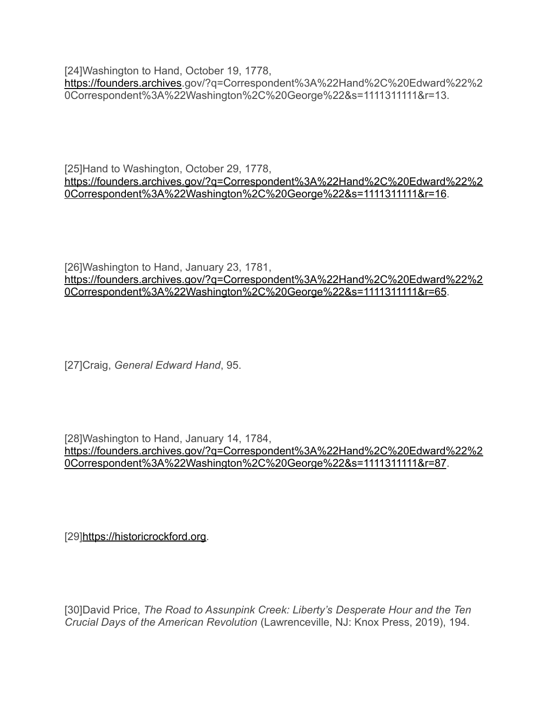[24]Washington to Hand, October 19, 1778, [https://founders.archives.](https://founders.archives/)gov/?q=Correspondent%3A%22Hand%2C%20Edward%22%2 0Correspondent%3A%22Washington%2C%20George%22&s=1111311111&r=13.

[25]Hand to Washington, October 29, 1778, [https://founders.archives.gov/?q=Correspondent%3A%22Hand%2C%20Edward%22%2](https://founders.archives.gov/?q=Correspondent%3A%22Hand%2C%20Edward%22%20Correspondent%3A%22Washington%2C%20George%22&s=1111311111&r=16) [0Correspondent%3A%22Washington%2C%20George%22&s=1111311111&r=16](https://founders.archives.gov/?q=Correspondent%3A%22Hand%2C%20Edward%22%20Correspondent%3A%22Washington%2C%20George%22&s=1111311111&r=16).

[26]Washington to Hand, January 23, 1781, [https://founders.archives.gov/?q=Correspondent%3A%22Hand%2C%20Edward%22%2](https://founders.archives.gov/?q=Correspondent%3A%22Hand%2C%20Edward%22%20Correspondent%3A%22Washington%2C%20George%22&s=1111311111&r=65) [0Correspondent%3A%22Washington%2C%20George%22&s=1111311111&r=65](https://founders.archives.gov/?q=Correspondent%3A%22Hand%2C%20Edward%22%20Correspondent%3A%22Washington%2C%20George%22&s=1111311111&r=65).

[27]Craig, *General Edward Hand*, 95.

[28]Washington to Hand, January 14, 1784, [https://founders.archives.gov/?q=Correspondent%3A%22Hand%2C%20Edward%22%2](https://founders.archives.gov/?q=Correspondent%3A%22Hand%2C%20Edward%22%20Correspondent%3A%22Washington%2C%20George%22&s=1111311111&r=87) [0Correspondent%3A%22Washington%2C%20George%22&s=1111311111&r=87](https://founders.archives.gov/?q=Correspondent%3A%22Hand%2C%20Edward%22%20Correspondent%3A%22Washington%2C%20George%22&s=1111311111&r=87).

[29][https://historicrockford.org](https://historicrockford.org/).

[30]David Price, *The Road to Assunpink Creek: Liberty's Desperate Hour and the Ten Crucial Days of the American Revolution* (Lawrenceville, NJ: Knox Press, 2019), 194.